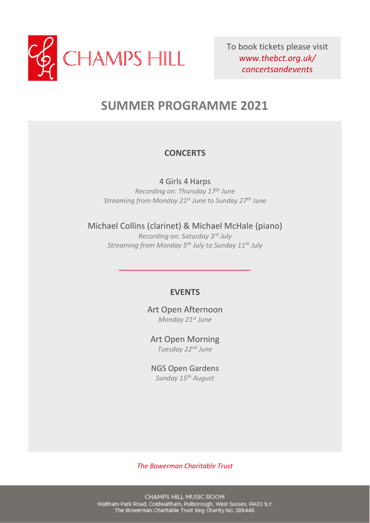

To book tickets please visit *www.thebct.org.uk/ concertsandevents*

# **SUMMER PROGRAMME 2021**

### **CONCERTS**

4 Girls 4 Harps *Recording on: Thursday 17th June Streaming from Monday 21st June to Sunday 27 th June*

Michael Collins (clarinet) & Michael McHale (piano)

*Recording on: Saturday 3rd July Streaming from Monday 5th July to Sunday 11th July*

#### **EVENTS**

Art Open Afternoon *Monday 21st June*

Art Open Morning *Tuesday 22nd June*

NGS Open Gardens *Sunday 15th August*

*The Bowerman Charitable Trust*

CHAMPS HILL MUSIC ROOM Waltham Park Road, Coldwaltham, Pulborough, West Sussex, RH2O ILY<br>The Bowerman Charitable Trust Reg Charity No. 299446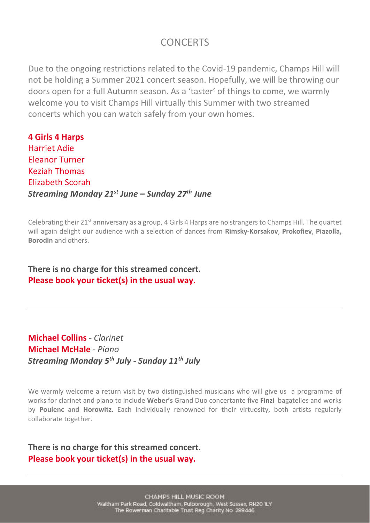# **CONCERTS**

Due to the ongoing restrictions related to the Covid-19 pandemic, Champs Hill will not be holding a Summer 2021 concert season. Hopefully, we will be throwing our doors open for a full Autumn season. As a 'taster' of things to come, we warmly welcome you to visit Champs Hill virtually this Summer with two streamed concerts which you can watch safely from your own homes.

**4 Girls 4 Harps** Harriet Adie Eleanor Turner Keziah Thomas Elizabeth Scorah *Streaming Monday 21st June – Sunday 27th June*

Celebrating their 21<sup>st</sup> anniversary as a group, 4 Girls 4 Harps are no strangers to Champs Hill. The quartet will again delight our audience with a selection of dances from **Rimsky-Korsakov**, **Prokofiev**, **Piazolla, Borodin** and others.

**There is no charge for this streamed concert. Please book your ticket(s) in the usual way.**

# **Michael Collins** *- Clarinet* **Michael McHale** *- Piano Streaming Monday 5 th July - Sunday 11th July*

We warmly welcome a return visit by two distinguished musicians who will give us a programme of works for clarinet and piano to include **Weber's** Grand Duo concertante five **Finzi** bagatelles and works by **Poulenc** and **Horowitz**. Each individually renowned for their virtuosity, both artists regularly collaborate together.

**There is no charge for this streamed concert. Please book your ticket(s) in the usual way.**

> CHAMPS HILL MUSIC ROOM Waitham Park Road, Coldwaltham, Pulborough, West Sussex, RH2O ILY The Bowerman Charitable Trust Reg Charity No. 289446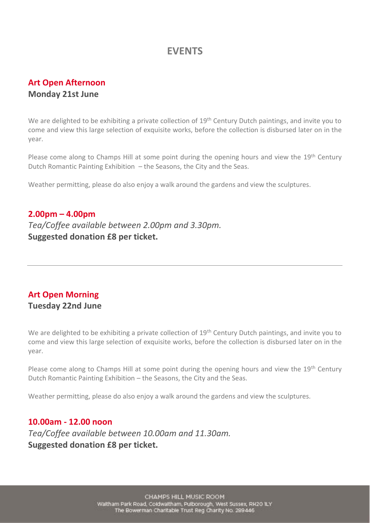# **EVENTS**

## **Art Open Afternoon Monday 21st June**

We are delighted to be exhibiting a private collection of 19<sup>th</sup> Century Dutch paintings, and invite you to come and view this large selection of exquisite works, before the collection is disbursed later on in the year.

Please come along to Champs Hill at some point during the opening hours and view the 19<sup>th</sup> Century Dutch Romantic Painting Exhibition – the Seasons, the City and the Seas.

Weather permitting, please do also enjoy a walk around the gardens and view the sculptures.

#### **2.00pm – 4.00pm**

*Tea/Coffee available between 2.00pm and 3.30pm.* **Suggested donation £8 per ticket.**

### **Art Open Morning Tuesday 22nd June**

We are delighted to be exhibiting a private collection of 19<sup>th</sup> Century Dutch paintings, and invite you to come and view this large selection of exquisite works, before the collection is disbursed later on in the year.

Please come along to Champs Hill at some point during the opening hours and view the 19<sup>th</sup> Century Dutch Romantic Painting Exhibition – the Seasons, the City and the Seas.

Weather permitting, please do also enjoy a walk around the gardens and view the sculptures.

#### **10.00am - 12.00 noon**

*Tea/Coffee available between 10.00am and 11.30am.* **Suggested donation £8 per ticket.**